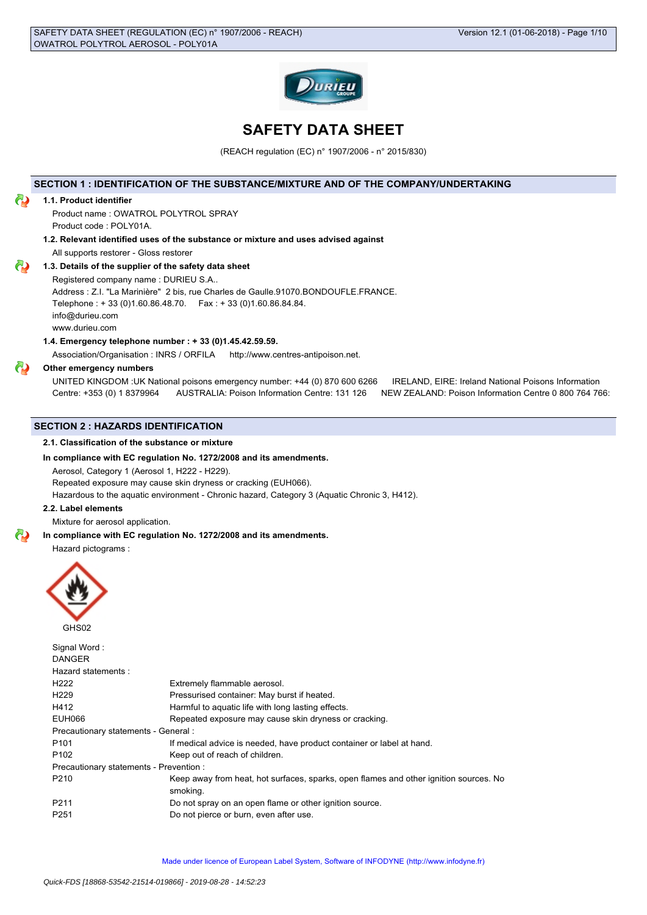

# **SAFETY DATA SHEET**

(REACH regulation (EC) n° 1907/2006 - n° 2015/830)

# **SECTION 1 : IDENTIFICATION OF THE SUBSTANCE/MIXTURE AND OF THE COMPANY/UNDERTAKING**

#### **1.1. Product identifier**

Product name : OWATROL POLYTROL SPRAY Product code : POLY01A.

**1.2. Relevant identified uses of the substance or mixture and uses advised against** All supports restorer - Gloss restorer

# **1.3. Details of the supplier of the safety data sheet**

Registered company name : DURIEU S.A..

Address : Z.I. "La Marinière" 2 bis, rue Charles de Gaulle.91070.BONDOUFLE.FRANCE. Telephone : + 33 (0)1.60.86.48.70. Fax : + 33 (0)1.60.86.84.84.

info@durieu.com

www.durieu.com

# **1.4. Emergency telephone number : + 33 (0)1.45.42.59.59.**

Association/Organisation : INRS / ORFILA http://www.centres-antipoison.net.

#### **Other emergency numbers**

UNITED KINGDOM :UK National poisons emergency number: +44 (0) 870 600 6266 IRELAND, EIRE: Ireland National Poisons Information Centre: +353 (0) 1 8379964 AUSTRALIA: Poison Information Centre: 131 126 NEW ZEALAND: Poison Information Centre 0 800 764 766:

# **SECTION 2 : HAZARDS IDENTIFICATION**

## **2.1. Classification of the substance or mixture**

# **In compliance with EC regulation No. 1272/2008 and its amendments.**

Aerosol, Category 1 (Aerosol 1, H222 - H229).

Repeated exposure may cause skin dryness or cracking (EUH066).

Hazardous to the aquatic environment - Chronic hazard, Category 3 (Aquatic Chronic 3, H412).

# **2.2. Label elements**

Mixture for aerosol application.

#### **In compliance with EC regulation No. 1272/2008 and its amendments.**

Hazard pictograms :



 $\sim$   $\sim$   $\sim$   $\sim$   $\sim$ 

| Signal word:                            |                                                                                                   |
|-----------------------------------------|---------------------------------------------------------------------------------------------------|
| <b>DANGER</b>                           |                                                                                                   |
| Hazard statements:                      |                                                                                                   |
| H <sub>222</sub>                        | Extremely flammable aerosol.                                                                      |
| H <sub>229</sub>                        | Pressurised container: May burst if heated.                                                       |
| H412                                    | Harmful to aquatic life with long lasting effects.                                                |
| EUH066                                  | Repeated exposure may cause skin dryness or cracking.                                             |
| Precautionary statements - General :    |                                                                                                   |
| P <sub>101</sub>                        | If medical advice is needed, have product container or label at hand.                             |
| P <sub>102</sub>                        | Keep out of reach of children.                                                                    |
| Precautionary statements - Prevention : |                                                                                                   |
| P <sub>210</sub>                        | Keep away from heat, hot surfaces, sparks, open flames and other ignition sources. No<br>smoking. |
|                                         |                                                                                                   |
| P <sub>211</sub>                        | Do not spray on an open flame or other ignition source.                                           |
| P <sub>251</sub>                        | Do not pierce or burn, even after use.                                                            |
|                                         |                                                                                                   |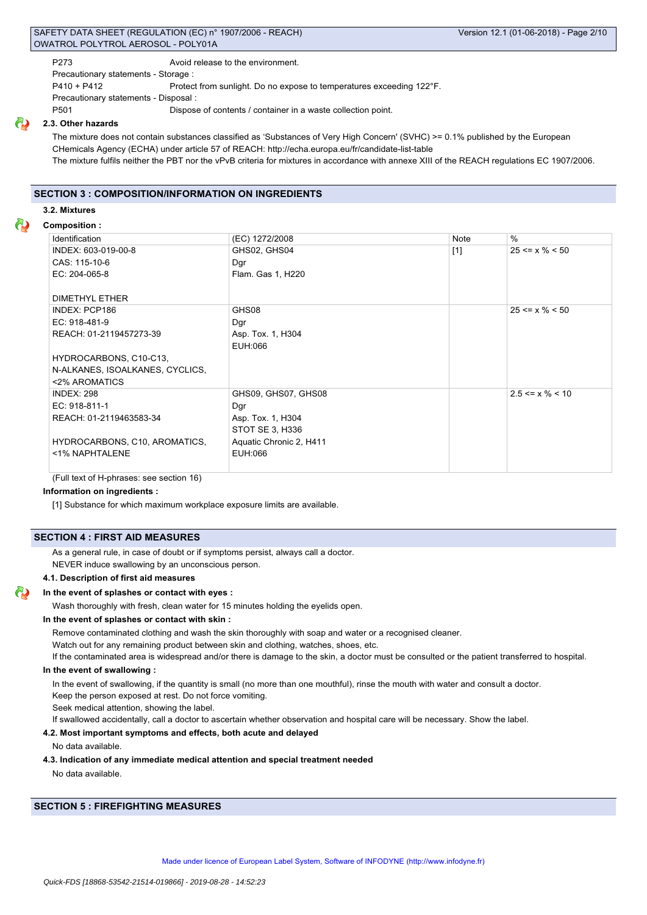# SAFETY DATA SHEET (REGULATION (EC) n° 1907/2006 - REACH) Version 12.1 (01-06-2018) - Page 2/10 OWATROL POLYTROL AEROSOL - POLY01A

P273 Avoid release to the environment.

Precautionary statements - Storage :

P410 + P412 Protect from sunlight. Do no expose to temperatures exceeding 122°F.

Precautionary statements - Disposal :

P501 Dispose of contents / container in a waste collection point.

## **2.3. Other hazards**

The mixture does not contain substances classified as 'Substances of Very High Concern' (SVHC) >= 0.1% published by the European CHemicals Agency (ECHA) under article 57 of REACH: http://echa.europa.eu/fr/candidate-list-table The mixture fulfils neither the PBT nor the vPvB criteria for mixtures in accordance with annexe XIII of the REACH regulations EC 1907/2006.

# **SECTION 3 : COMPOSITION/INFORMATION ON INGREDIENTS**

#### **3.2. Mixtures**

# **Composition :**

| Identification                  | (EC) 1272/2008          | Note  | $\%$                  |
|---------------------------------|-------------------------|-------|-----------------------|
| INDEX: 603-019-00-8             | GHS02, GHS04            | $[1]$ | $25 \le x \% \le 50$  |
| CAS: 115-10-6                   | Dgr                     |       |                       |
| EC: 204-065-8                   | Flam. Gas 1, H220       |       |                       |
|                                 |                         |       |                       |
| <b>DIMETHYL ETHER</b>           |                         |       |                       |
| INDEX: PCP186                   | GHS08                   |       | $25 \le x \% \le 50$  |
| EC: 918-481-9                   | Dgr                     |       |                       |
| REACH: 01-2119457273-39         | Asp. Tox. 1, H304       |       |                       |
|                                 | EUH:066                 |       |                       |
| HYDROCARBONS, C10-C13,          |                         |       |                       |
| N-ALKANES, ISOALKANES, CYCLICS, |                         |       |                       |
| <2% AROMATICS                   |                         |       |                       |
| <b>INDEX: 298</b>               | GHS09, GHS07, GHS08     |       | $2.5 \le x \% \le 10$ |
| EC: 918-811-1                   | Dgr                     |       |                       |
| REACH: 01-2119463583-34         | Asp. Tox. 1, H304       |       |                       |
|                                 | STOT SE 3, H336         |       |                       |
| HYDROCARBONS, C10, AROMATICS,   | Aquatic Chronic 2, H411 |       |                       |
| <1% NAPHTALENE                  | EUH:066                 |       |                       |
|                                 |                         |       |                       |

(Full text of H-phrases: see section 16)

# **Information on ingredients :**

[1] Substance for which maximum workplace exposure limits are available.

# **SECTION 4 : FIRST AID MEASURES**

As a general rule, in case of doubt or if symptoms persist, always call a doctor.

NEVER induce swallowing by an unconscious person.

# **4.1. Description of first aid measures**

#### **In the event of splashes or contact with eyes :**

Wash thoroughly with fresh, clean water for 15 minutes holding the eyelids open.

#### **In the event of splashes or contact with skin :**

Remove contaminated clothing and wash the skin thoroughly with soap and water or a recognised cleaner.

Watch out for any remaining product between skin and clothing, watches, shoes, etc.

If the contaminated area is widespread and/or there is damage to the skin, a doctor must be consulted or the patient transferred to hospital.

#### **In the event of swallowing :**

In the event of swallowing, if the quantity is small (no more than one mouthful), rinse the mouth with water and consult a doctor.

Keep the person exposed at rest. Do not force vomiting.

Seek medical attention, showing the label.

If swallowed accidentally, call a doctor to ascertain whether observation and hospital care will be necessary. Show the label.

# **4.2. Most important symptoms and effects, both acute and delayed**

No data available.

# **4.3. Indication of any immediate medical attention and special treatment needed**

No data available.

# **SECTION 5 : FIREFIGHTING MEASURES**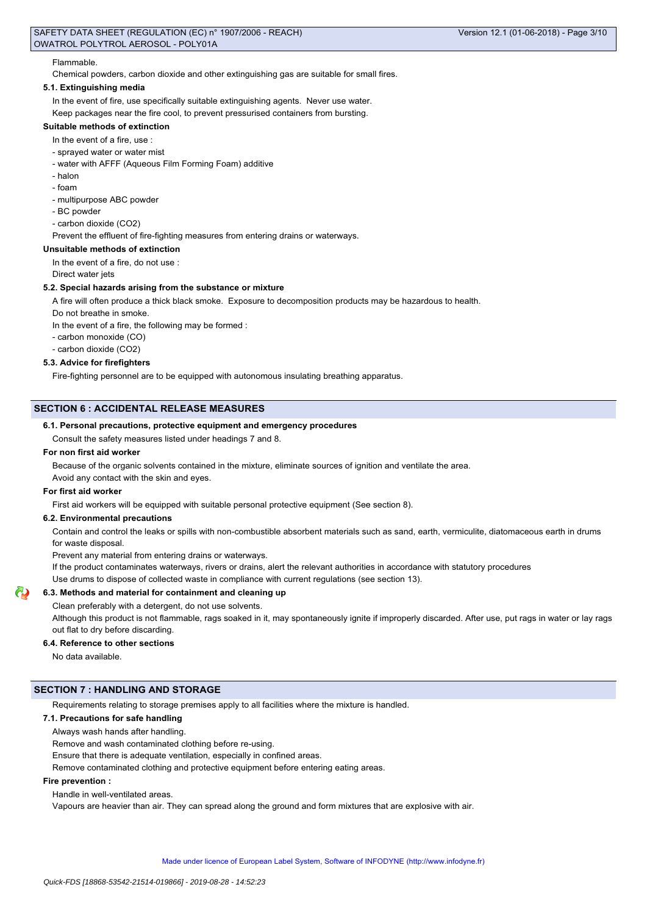#### Flammable.

Chemical powders, carbon dioxide and other extinguishing gas are suitable for small fires.

# **5.1. Extinguishing media**

In the event of fire, use specifically suitable extinguishing agents. Never use water. Keep packages near the fire cool, to prevent pressurised containers from bursting.

#### **Suitable methods of extinction**

In the event of a fire, use :

- sprayed water or water mist
- water with AFFF (Aqueous Film Forming Foam) additive
- halon
- foam
- multipurpose ABC powder
- BC powder
- carbon dioxide (CO2)

Prevent the effluent of fire-fighting measures from entering drains or waterways.

# **Unsuitable methods of extinction**

In the event of a fire, do not use :

Direct water jets

## **5.2. Special hazards arising from the substance or mixture**

A fire will often produce a thick black smoke. Exposure to decomposition products may be hazardous to health.

Do not breathe in smoke.

In the event of a fire, the following may be formed :

- carbon monoxide (CO)
- carbon dioxide (CO2)

#### **5.3. Advice for firefighters**

Fire-fighting personnel are to be equipped with autonomous insulating breathing apparatus.

# **SECTION 6 : ACCIDENTAL RELEASE MEASURES**

#### **6.1. Personal precautions, protective equipment and emergency procedures**

Consult the safety measures listed under headings 7 and 8.

#### **For non first aid worker**

Because of the organic solvents contained in the mixture, eliminate sources of ignition and ventilate the area.

Avoid any contact with the skin and eyes.

# **For first aid worker**

First aid workers will be equipped with suitable personal protective equipment (See section 8).

#### **6.2. Environmental precautions**

Contain and control the leaks or spills with non-combustible absorbent materials such as sand, earth, vermiculite, diatomaceous earth in drums for waste disposal.

Prevent any material from entering drains or waterways.

If the product contaminates waterways, rivers or drains, alert the relevant authorities in accordance with statutory procedures

Use drums to dispose of collected waste in compliance with current regulations (see section 13).

**6.3. Methods and material for containment and cleaning up**

Clean preferably with a detergent, do not use solvents.

Although this product is not flammable, rags soaked in it, may spontaneously ignite if improperly discarded. After use, put rags in water or lay rags out flat to dry before discarding.

#### **6.4. Reference to other sections**

No data available.

# **SECTION 7 : HANDLING AND STORAGE**

Requirements relating to storage premises apply to all facilities where the mixture is handled.

# **7.1. Precautions for safe handling**

Always wash hands after handling.

Remove and wash contaminated clothing before re-using.

Ensure that there is adequate ventilation, especially in confined areas.

Remove contaminated clothing and protective equipment before entering eating areas.

## **Fire prevention :**

Handle in well-ventilated areas.

Vapours are heavier than air. They can spread along the ground and form mixtures that are explosive with air.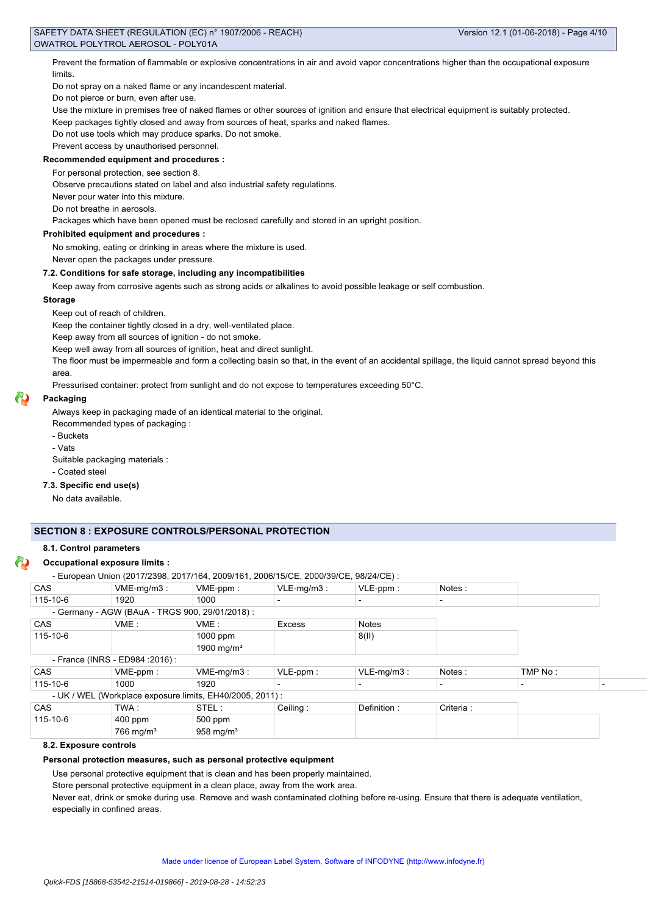Prevent the formation of flammable or explosive concentrations in air and avoid vapor concentrations higher than the occupational exposure limits.

Do not spray on a naked flame or any incandescent material.

Do not pierce or burn, even after use.

Use the mixture in premises free of naked flames or other sources of ignition and ensure that electrical equipment is suitably protected.

Keep packages tightly closed and away from sources of heat, sparks and naked flames.

Do not use tools which may produce sparks. Do not smoke.

Prevent access by unauthorised personnel.

# **Recommended equipment and procedures :**

For personal protection, see section 8.

Observe precautions stated on label and also industrial safety regulations.

Never pour water into this mixture.

Do not breathe in aerosols.

Packages which have been opened must be reclosed carefully and stored in an upright position.

## **Prohibited equipment and procedures :**

No smoking, eating or drinking in areas where the mixture is used.

Never open the packages under pressure.

#### **7.2. Conditions for safe storage, including any incompatibilities**

Keep away from corrosive agents such as strong acids or alkalines to avoid possible leakage or self combustion.

#### **Storage**

Keep out of reach of children.

Keep the container tightly closed in a dry, well-ventilated place.

Keep away from all sources of ignition - do not smoke.

Keep well away from all sources of ignition, heat and direct sunlight.

The floor must be impermeable and form a collecting basin so that, in the event of an accidental spillage, the liquid cannot spread beyond this area.

Pressurised container: protect from sunlight and do not expose to temperatures exceeding 50°C.

# **Packaging**

Always keep in packaging made of an identical material to the original.

Recommended types of packaging :

- Buckets

- Vats

Suitable packaging materials :

- Coated steel

#### **7.3. Specific end use(s)**

No data available.

# **SECTION 8 : EXPOSURE CONTROLS/PERSONAL PROTECTION**

#### **8.1. Control parameters**

## **Occupational exposure limits :**

<sup>-</sup> European Union (2017/2398, 2017/164, 2009/161, 2006/15/CE, 2000/39/CE, 98/24/CE) :

|            | - European Union (2017/2398, 2017/164, 2009/161, 2006/15/CE, 2000/39/CE, 98/24/CE) : |                        |               |               |           |         |  |
|------------|--------------------------------------------------------------------------------------|------------------------|---------------|---------------|-----------|---------|--|
| <b>CAS</b> | $VME-mq/m3$ :                                                                        | $VME-ppm$ :            | $VLE-mq/m3$ : | $VLE-ppm$ :   | Notes:    |         |  |
| 115-10-6   | 1920                                                                                 | 1000                   |               |               |           |         |  |
|            | - Germany - AGW (BAuA - TRGS 900, 29/01/2018) :                                      |                        |               |               |           |         |  |
| <b>CAS</b> | VME:                                                                                 | VME:                   | <b>Excess</b> | <b>Notes</b>  |           |         |  |
| 115-10-6   |                                                                                      | $1000$ ppm             |               | 8(11)         |           |         |  |
|            |                                                                                      | 1900 mg/m <sup>3</sup> |               |               |           |         |  |
|            | - France (INRS - ED984 : 2016) :                                                     |                        |               |               |           |         |  |
| <b>CAS</b> | $VME-ppm$ :                                                                          | $VME-mq/m3$ :          | $VLE-ppm$ :   | $VLE-mg/m3$ : | Notes:    | TMP No: |  |
| 115-10-6   | 1000                                                                                 | 1920                   |               |               |           |         |  |
|            | - UK / WEL (Workplace exposure limits, EH40/2005, 2011) :                            |                        |               |               |           |         |  |
| <b>CAS</b> | TWA :                                                                                | STEL:                  | Ceiling:      | Definition:   | Criteria: |         |  |
| 115-10-6   | $400$ ppm                                                                            | $500$ ppm              |               |               |           |         |  |
|            | $766$ mg/m <sup>3</sup>                                                              | $958 \text{ mg/m}^3$   |               |               |           |         |  |

# **8.2. Exposure controls**

#### **Personal protection measures, such as personal protective equipment**

Use personal protective equipment that is clean and has been properly maintained.

Store personal protective equipment in a clean place, away from the work area.

Never eat, drink or smoke during use. Remove and wash contaminated clothing before re-using. Ensure that there is adequate ventilation, especially in confined areas.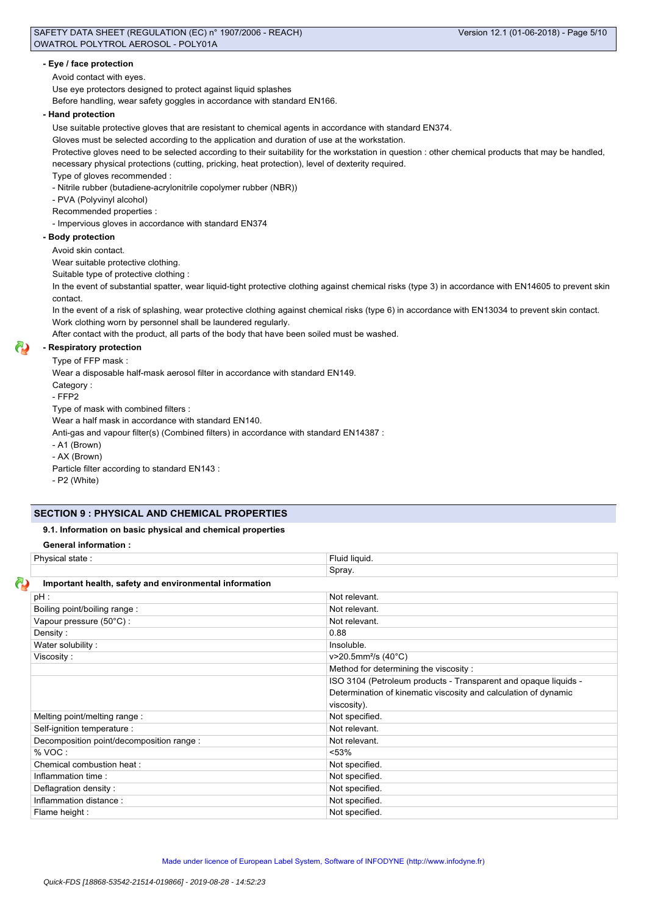# **- Eye / face protection**

### Avoid contact with eyes.

Use eye protectors designed to protect against liquid splashes

Before handling, wear safety goggles in accordance with standard EN166.

#### **- Hand protection**

Use suitable protective gloves that are resistant to chemical agents in accordance with standard EN374.

Gloves must be selected according to the application and duration of use at the workstation.

Protective gloves need to be selected according to their suitability for the workstation in question : other chemical products that may be handled, necessary physical protections (cutting, pricking, heat protection), level of dexterity required.

Type of gloves recommended :

- Nitrile rubber (butadiene-acrylonitrile copolymer rubber (NBR))

- PVA (Polyvinyl alcohol)

Recommended properties :

## - Impervious gloves in accordance with standard EN374

# **- Body protection**

Avoid skin contact.

Wear suitable protective clothing.

Suitable type of protective clothing :

In the event of substantial spatter, wear liquid-tight protective clothing against chemical risks (type 3) in accordance with EN14605 to prevent skin contact.

In the event of a risk of splashing, wear protective clothing against chemical risks (type 6) in accordance with EN13034 to prevent skin contact. Work clothing worn by personnel shall be laundered regularly.

After contact with the product, all parts of the body that have been soiled must be washed.

#### **- Respiratory protection**

Type of FFP mask :

Wear a disposable half-mask aerosol filter in accordance with standard EN149.

Category :

- FFP2

Type of mask with combined filters :

Wear a half mask in accordance with standard EN140.

Anti-gas and vapour filter(s) (Combined filters) in accordance with standard EN14387 :

- A1 (Brown)

- AX (Brown)

Particle filter according to standard EN143 :

- P2 (White)

# **SECTION 9 : PHYSICAL AND CHEMICAL PROPERTIES**

# **9.1. Information on basic physical and chemical properties**

**General information :**

| Physical state:                                        | Fluid liquid.                                                   |
|--------------------------------------------------------|-----------------------------------------------------------------|
|                                                        | Spray.                                                          |
| Important health, safety and environmental information |                                                                 |
| pH:                                                    | Not relevant.                                                   |
| Boiling point/boiling range:                           | Not relevant.                                                   |
| Vapour pressure (50°C):                                | Not relevant.                                                   |
| Density:                                               | 0.88                                                            |
| Water solubility:                                      | Insoluble.                                                      |
| Viscosity:                                             | v>20.5mm <sup>2</sup> /s (40°C)                                 |
|                                                        | Method for determining the viscosity:                           |
|                                                        | ISO 3104 (Petroleum products - Transparent and opaque liquids - |
|                                                        | Determination of kinematic viscosity and calculation of dynamic |
|                                                        | viscosity).                                                     |
| Melting point/melting range:                           | Not specified.                                                  |
| Self-ignition temperature :                            | Not relevant.                                                   |
| Decomposition point/decomposition range :              | Not relevant.                                                   |
| % VOC:                                                 | < 53%                                                           |
| Chemical combustion heat :                             | Not specified.                                                  |
| Inflammation time:                                     | Not specified.                                                  |
| Deflagration density:                                  | Not specified.                                                  |
| Inflammation distance:                                 | Not specified.                                                  |
| Flame height :                                         | Not specified.                                                  |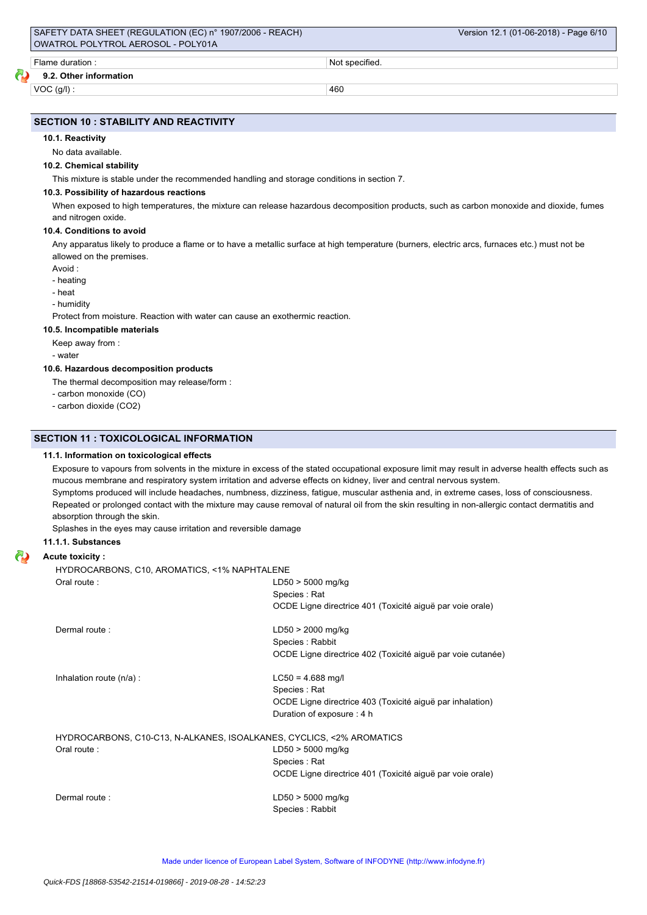**9.2. Other information**

 $VOC (g/l)$  : 460

# **SECTION 10 : STABILITY AND REACTIVITY**

#### **10.1. Reactivity**

No data available.

#### **10.2. Chemical stability**

This mixture is stable under the recommended handling and storage conditions in section 7.

#### **10.3. Possibility of hazardous reactions**

When exposed to high temperatures, the mixture can release hazardous decomposition products, such as carbon monoxide and dioxide, fumes and nitrogen oxide.

#### **10.4. Conditions to avoid**

Any apparatus likely to produce a flame or to have a metallic surface at high temperature (burners, electric arcs, furnaces etc.) must not be allowed on the premises.

Avoid :

- heating

- heat

- humidity

Protect from moisture. Reaction with water can cause an exothermic reaction.

# **10.5. Incompatible materials**

Keep away from :

- water

# **10.6. Hazardous decomposition products**

The thermal decomposition may release/form :

- carbon monoxide (CO)
- carbon dioxide (CO2)

## **SECTION 11 : TOXICOLOGICAL INFORMATION**

#### **11.1. Information on toxicological effects**

Exposure to vapours from solvents in the mixture in excess of the stated occupational exposure limit may result in adverse health effects such as mucous membrane and respiratory system irritation and adverse effects on kidney, liver and central nervous system. Symptoms produced will include headaches, numbness, dizziness, fatigue, muscular asthenia and, in extreme cases, loss of consciousness. Repeated or prolonged contact with the mixture may cause removal of natural oil from the skin resulting in non-allergic contact dermatitis and

Splashes in the eyes may cause irritation and reversible damage

#### **11.1.1. Substances**

absorption through the skin.

# **Acute toxicity :**

HYDROCARBONS, C10, AROMATICS, <1% NAPHTALENE

| Oral route:                                                                         | $LD50 > 5000$ mg/kg<br>Species: Rat<br>OCDE Ligne directrice 401 (Toxicité aiguë par voie orale)                               |
|-------------------------------------------------------------------------------------|--------------------------------------------------------------------------------------------------------------------------------|
| Dermal route:                                                                       | $LD50 > 2000$ mg/kg<br>Species : Rabbit<br>OCDE Ligne directrice 402 (Toxicité aiguë par voie cutanée)                         |
| Inhalation route $(n/a)$ :                                                          | $LC50 = 4.688$ mg/l<br>Species: Rat<br>OCDE Ligne directrice 403 (Toxicité aiguë par inhalation)<br>Duration of exposure : 4 h |
| HYDROCARBONS, C10-C13, N-ALKANES, ISOALKANES, CYCLICS, <2% AROMATICS<br>Oral route: | $LD50 > 5000$ mg/kg<br>Species: Rat<br>OCDE Ligne directrice 401 (Toxicité aiguë par voie orale)                               |
| Dermal route:                                                                       | LD50 > 5000 mg/kg<br>Species: Rabbit                                                                                           |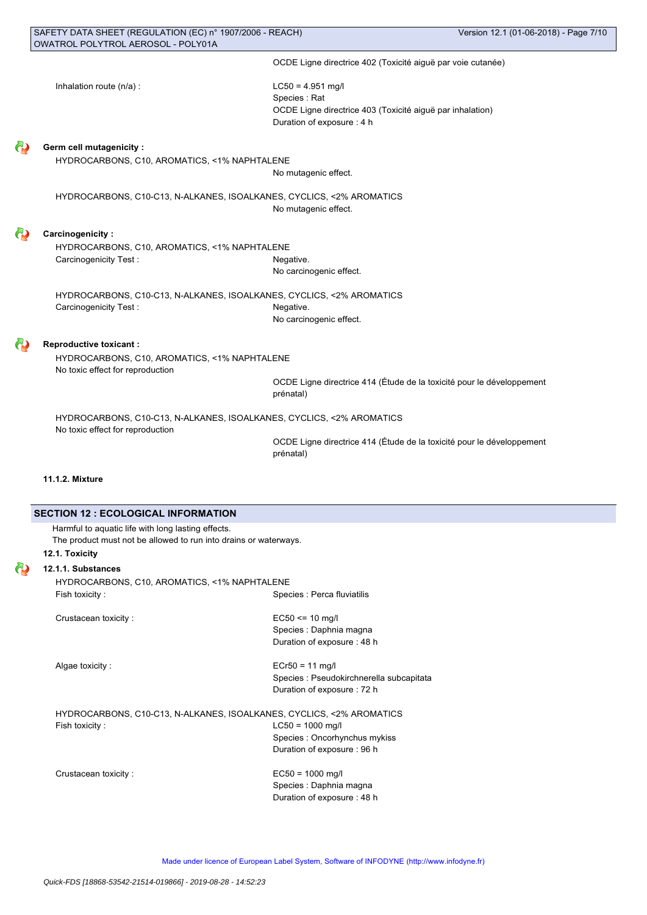| SAFETY DATA SHEET (REGULATION (EC) n° 1907/2006 - REACH)<br>OWATROL POLYTROL AEROSOL - POLY01A |                                                                                         | Version 12.1 (01-06-2018) - Page 7/10 |
|------------------------------------------------------------------------------------------------|-----------------------------------------------------------------------------------------|---------------------------------------|
|                                                                                                | OCDE Ligne directrice 402 (Toxicité aiguë par voie cutanée)                             |                                       |
|                                                                                                |                                                                                         |                                       |
| Inhalation route (n/a) :                                                                       | $LC50 = 4.951$ mg/l                                                                     |                                       |
|                                                                                                | Species: Rat                                                                            |                                       |
|                                                                                                | OCDE Ligne directrice 403 (Toxicité aiguë par inhalation)<br>Duration of exposure : 4 h |                                       |
|                                                                                                |                                                                                         |                                       |
| <b>Germ cell mutagenicity:</b>                                                                 |                                                                                         |                                       |
| HYDROCARBONS, C10, AROMATICS, <1% NAPHTALENE                                                   |                                                                                         |                                       |
|                                                                                                | No mutagenic effect.                                                                    |                                       |
| HYDROCARBONS, C10-C13, N-ALKANES, ISOALKANES, CYCLICS, <2% AROMATICS                           |                                                                                         |                                       |
|                                                                                                | No mutagenic effect.                                                                    |                                       |
|                                                                                                |                                                                                         |                                       |
| <b>Carcinogenicity:</b>                                                                        |                                                                                         |                                       |
| HYDROCARBONS, C10, AROMATICS, <1% NAPHTALENE                                                   |                                                                                         |                                       |
| Carcinogenicity Test:                                                                          | Negative.                                                                               |                                       |
|                                                                                                | No carcinogenic effect.                                                                 |                                       |
| HYDROCARBONS, C10-C13, N-ALKANES, ISOALKANES, CYCLICS, <2% AROMATICS                           |                                                                                         |                                       |
| Carcinogenicity Test:                                                                          | Negative.                                                                               |                                       |
|                                                                                                | No carcinogenic effect.                                                                 |                                       |
|                                                                                                |                                                                                         |                                       |
| <b>Reproductive toxicant:</b><br>HYDROCARBONS, C10, AROMATICS, <1% NAPHTALENE                  |                                                                                         |                                       |
| No toxic effect for reproduction                                                               |                                                                                         |                                       |
|                                                                                                | OCDE Ligne directrice 414 (Étude de la toxicité pour le développement                   |                                       |
|                                                                                                | prénatal)                                                                               |                                       |
| HYDROCARBONS, C10-C13, N-ALKANES, ISOALKANES, CYCLICS, <2% AROMATICS                           |                                                                                         |                                       |
| No toxic effect for reproduction                                                               |                                                                                         |                                       |
|                                                                                                | OCDE Ligne directrice 414 (Étude de la toxicité pour le développement                   |                                       |
|                                                                                                | prénatal)                                                                               |                                       |
|                                                                                                |                                                                                         |                                       |
| 11.1.2. Mixture                                                                                |                                                                                         |                                       |
|                                                                                                |                                                                                         |                                       |
| <b>SECTION 12 : ECOLOGICAL INFORMATION</b>                                                     |                                                                                         |                                       |
| Harmful to aquatic life with long lasting effects.                                             |                                                                                         |                                       |
| The product must not be allowed to run into drains or waterways.                               |                                                                                         |                                       |
| 12.1. Toxicity                                                                                 |                                                                                         |                                       |
| 12.1.1. Substances<br>HYDROCARBONS, C10, AROMATICS, <1% NAPHTALENE                             |                                                                                         |                                       |
| Fish toxicity:                                                                                 | Species : Perca fluviatilis                                                             |                                       |
|                                                                                                |                                                                                         |                                       |
| Crustacean toxicity:                                                                           | $EC50 \le 10$ mg/l                                                                      |                                       |
|                                                                                                | Species : Daphnia magna                                                                 |                                       |
|                                                                                                | Duration of exposure: 48 h                                                              |                                       |
| Algae toxicity:                                                                                | $ECr50 = 11$ mg/l                                                                       |                                       |
|                                                                                                | Species : Pseudokirchnerella subcapitata                                                |                                       |
|                                                                                                | Duration of exposure : 72 h                                                             |                                       |
| HYDROCARBONS, C10-C13, N-ALKANES, ISOALKANES, CYCLICS, <2% AROMATICS                           |                                                                                         |                                       |
| Fish toxicity:                                                                                 | $LC50 = 1000$ mg/l                                                                      |                                       |
|                                                                                                | Species : Oncorhynchus mykiss                                                           |                                       |
|                                                                                                | Duration of exposure : 96 h                                                             |                                       |
|                                                                                                |                                                                                         |                                       |
| Crustacean toxicity:                                                                           | $EC50 = 1000$ mg/l<br>Species : Daphnia magna                                           |                                       |
|                                                                                                | Duration of exposure : 48 h                                                             |                                       |
|                                                                                                |                                                                                         |                                       |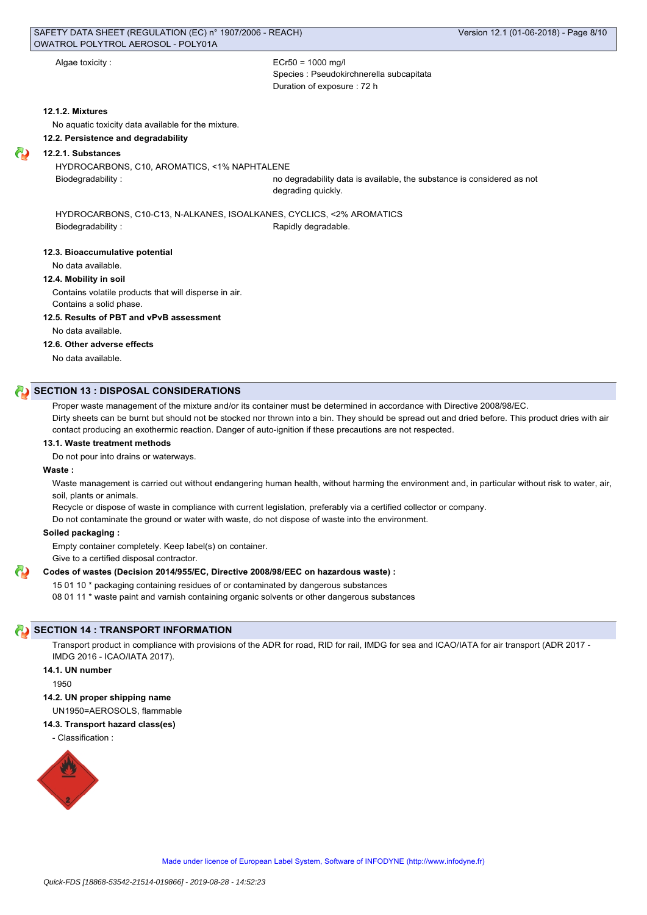Algae toxicity :  $ECr50 = 1000$  mg/l Species : Pseudokirchnerella subcapitata Duration of exposure : 72 h

#### **12.1.2. Mixtures**

No aquatic toxicity data available for the mixture.

#### **12.2. Persistence and degradability**

**12.2.1. Substances**

HYDROCARBONS, C10, AROMATICS, <1% NAPHTALENE

Biodegradability : no degradability data is available, the substance is considered as not degrading quickly.

HYDROCARBONS, C10-C13, N-ALKANES, ISOALKANES, CYCLICS, <2% AROMATICS Biodegradability : The Contract of the Rapidly degradable.

#### **12.3. Bioaccumulative potential**

No data available.

# **12.4. Mobility in soil**

Contains volatile products that will disperse in air. Contains a solid phase.

#### **12.5. Results of PBT and vPvB assessment**

No data available.

#### **12.6. Other adverse effects**

No data available.

# **SECTION 13 : DISPOSAL CONSIDERATIONS**

Proper waste management of the mixture and/or its container must be determined in accordance with Directive 2008/98/EC.

Dirty sheets can be burnt but should not be stocked nor thrown into a bin. They should be spread out and dried before. This product dries with air contact producing an exothermic reaction. Danger of auto-ignition if these precautions are not respected.

#### **13.1. Waste treatment methods**

Do not pour into drains or waterways.

# **Waste :**

Waste management is carried out without endangering human health, without harming the environment and, in particular without risk to water, air, soil, plants or animals.

Recycle or dispose of waste in compliance with current legislation, preferably via a certified collector or company.

Do not contaminate the ground or water with waste, do not dispose of waste into the environment.

#### **Soiled packaging :**

Empty container completely. Keep label(s) on container.

Give to a certified disposal contractor.

#### **Codes of wastes (Decision 2014/955/EC, Directive 2008/98/EEC on hazardous waste) :**

15 01 10 \* packaging containing residues of or contaminated by dangerous substances

08 01 11 \* waste paint and varnish containing organic solvents or other dangerous substances

# **SECTION 14 : TRANSPORT INFORMATION**

Transport product in compliance with provisions of the ADR for road, RID for rail, IMDG for sea and ICAO/IATA for air transport (ADR 2017 -IMDG 2016 - ICAO/IATA 2017).

# **14.1. UN number**

1950

#### **14.2. UN proper shipping name**

UN1950=AEROSOLS, flammable

#### **14.3. Transport hazard class(es)**

- Classification :

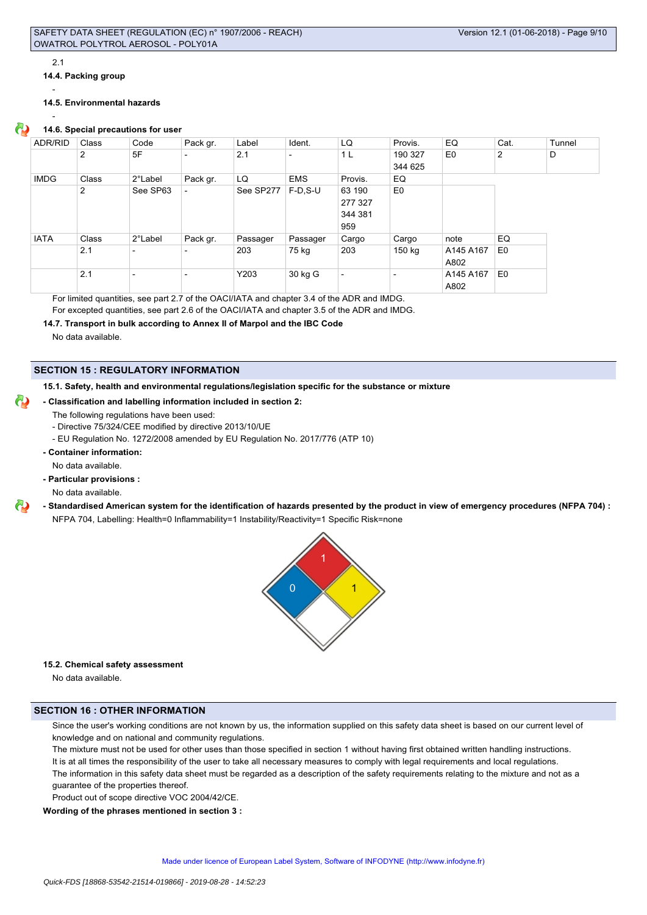#### 2.1

-

**14.4. Packing group**

-

# **14.5. Environmental hazards**

# **14.6. Special precautions for user**

| ADR/RID     | Class          | Code     | Pack gr.                 | Label     | Ident.                   | LQ                       | Provis.                  | EQ        | Cat. | Tunnel |
|-------------|----------------|----------|--------------------------|-----------|--------------------------|--------------------------|--------------------------|-----------|------|--------|
|             | $\overline{2}$ | 5F       | $\overline{\phantom{0}}$ | 2.1       | $\overline{\phantom{a}}$ | 1 L                      | 190 327                  | E0        | 2    | D      |
|             |                |          |                          |           |                          |                          | 344 625                  |           |      |        |
| <b>IMDG</b> | Class          | 2°Label  | Pack gr.                 | LQ        | <b>EMS</b>               | Provis.                  | EQ                       |           |      |        |
|             | 2              | See SP63 |                          | See SP277 | F-D.S-U                  | 63 190                   | E0                       |           |      |        |
|             |                |          |                          |           |                          | 277 327                  |                          |           |      |        |
|             |                |          |                          |           |                          | 344 381                  |                          |           |      |        |
|             |                |          |                          |           |                          | 959                      |                          |           |      |        |
| <b>IATA</b> | Class          | 2°Label  | Pack gr.                 | Passager  | Passager                 | Cargo                    | Cargo                    | note      | EQ   |        |
|             | 2.1            |          | $\overline{\phantom{0}}$ | 203       | 75 kg                    | 203                      | 150 kg                   | A145 A167 | E0   |        |
|             |                |          |                          |           |                          |                          |                          | A802      |      |        |
|             | 2.1            |          | $\overline{\phantom{0}}$ | Y203      | 30 kg G                  | $\overline{\phantom{0}}$ | $\overline{\phantom{0}}$ | A145 A167 | E0   |        |
|             |                |          |                          |           |                          |                          |                          | A802      |      |        |

For limited quantities, see part 2.7 of the OACI/IATA and chapter 3.4 of the ADR and IMDG.

For excepted quantities, see part 2.6 of the OACI/IATA and chapter 3.5 of the ADR and IMDG.

**14.7. Transport in bulk according to Annex II of Marpol and the IBC Code**

No data available.

# **SECTION 15 : REGULATORY INFORMATION**

**15.1. Safety, health and environmental regulations/legislation specific for the substance or mixture**

## **- Classification and labelling information included in section 2:**

- The following regulations have been used:
	- Directive 75/324/CEE modified by directive 2013/10/UE
	- EU Regulation No. 1272/2008 amended by EU Regulation No. 2017/776 (ATP 10)
- **Container information:**

No data available.

**- Particular provisions :**

No data available.

**- Standardised American system for the identification of hazards presented by the product in view of emergency procedures (NFPA 704) :** NFPA 704, Labelling: Health=0 Inflammability=1 Instability/Reactivity=1 Specific Risk=none



# **15.2. Chemical safety assessment**

No data available.

# **SECTION 16 : OTHER INFORMATION**

Since the user's working conditions are not known by us, the information supplied on this safety data sheet is based on our current level of knowledge and on national and community regulations.

The mixture must not be used for other uses than those specified in section 1 without having first obtained written handling instructions. It is at all times the responsibility of the user to take all necessary measures to comply with legal requirements and local regulations. The information in this safety data sheet must be regarded as a description of the safety requirements relating to the mixture and not as a guarantee of the properties thereof.

Product out of scope directive VOC 2004/42/CE.

**Wording of the phrases mentioned in section 3 :**